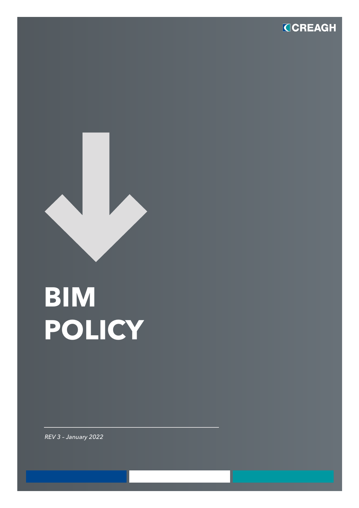



## **BIM POLICY**

*REV 3 – January 2022*